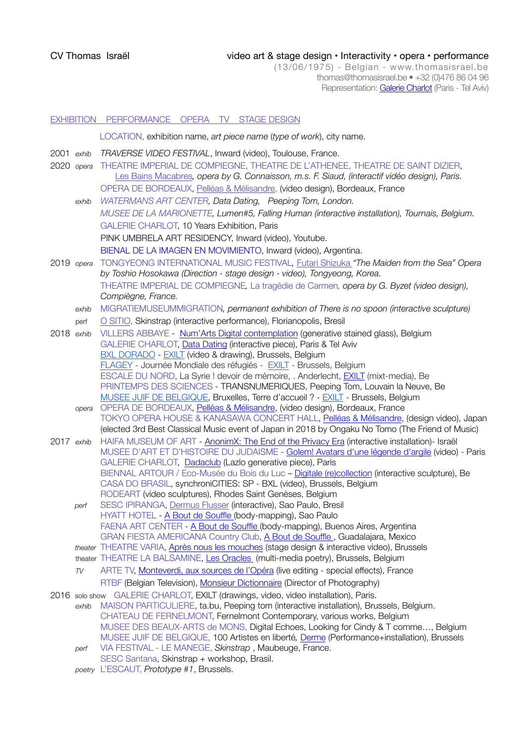## CV Thomas Israël video art & stage design • Interactivity • opera • performance

(13/06/1975) - Belgian - [www.thomasisrael.be](http://www.thomasisrael.be) thomas@thomasisrael.be • +32 (0)476 86 04 96 Representation: [Galerie Charlot](http://www.galeriecharlot.com) (Paris - Tel Aviv)

# EXHIBITION PERFORMANCE OPERA TV STAGE DESIGN LOCATION, exhibition name, *art piece name* (*type of work*), city name. 2001 *exhib TRAVERSE VIDEO FESTIVAL*, Inward (video), Toulouse, France. 2020 *opera* THEATRE IMPERIAL DE COMPIEGNE, THEATRE DE L'ATHENEE, THEATRE DE SAINT DIZIER, [Les Bains Macabres](http://www.thomasisrael.be/pf/bainsmacabres/)*, opera by G. Connaisson, m.s. F. Siaud, (interactif vidéo design), Paris.*  OPERA DE BORDEAUX, [Pelléas & Mélisandre](https://www.opera-bordeaux.com/opera-pelleas-et-melisande-6861), (video design), Bordeaux, France *exhib WATERMANS ART CENTER, Data Dating, Peeping Tom, London. MUSEE DE LA MARIONETTE, Lumen#5, Falling Human (interactive installation), Tournais, Belgium.*  GALERIE CHARLOT, 10 Years Exhibition, Paris PINK UMBRELA ART RESIDENCY, Inward (video), Youtube. [BIENAL DE LA IMAGEN EN MOVIMIENTO,](https://bim.com.ar/) Inward (video), Argentina. 2019 *opera* TONGYEONG INTERNATIONAL MUSIC FESTIVAL*,* [Futari Shizuka](http://www.thomasisrael.be/pf/futarishizuka/) *"The Maiden from the Sea" Opera by Toshio Hosokawa (Direction - stage design - video), Tongyeong, Korea.*  THEATRE IMPERIAL DE COMPIEGNE*,* [La tragédie de Carmen](http://www.thomasisrael.be/pf/carmen/)*, opera by G. Byzet (video design), Compiègne, France. exhib* MIGRATIEMUSEUMMIGRATION*, permanent exhibition of There is no spoon (interactive sculpture)*  perf [O SITIO](https://ositio.com.br/produto/performance-skinstrap/), Skinstrap (interactive performance), Florianopolis, Bresil 2018 *exhib* VILLERS ABBAYE - [Num'Arts Digital contemplation](https://www.villers.be/fr/digital-contemplation) (generative stained glass), Belgium GALERIE CHARLOT, [Data Dating](https://www.galeriecharlot.com/fr/expo/161/Data-Dating) (interactive piece), Paris & Tel Aviv [BXL DORADO](https://www.facebook.com/BXLDorado/) - [EXILT](https://nam01.safelinks.protection.outlook.com/?url=http%3A%2F%2Fwww.thomasisrael.be%2Fpf%2Fexilt%2F&data=02%7C01%7C%7Cefbad9168a92443eecf508d59488675a%7C84df9e7fe9f640afb435aaaaaaaaaaaa%7C1%7C0%7C636578235929795202&sdata=jZzRX%2Fc5%2BTApMXfv72cTdFSj6kgbMnwZKh19hf2P5sk%3D&reserved=0) (video & drawing), Brussels, Belgium [FLAGEY](http://www.flagey.be/) - Journée Mondiale des réfugiés - [EXILT](https://nam01.safelinks.protection.outlook.com/?url=http%3A%2F%2Fwww.thomasisrael.be%2Fpf%2Fexilt%2F&data=02%7C01%7C%7Cefbad9168a92443eecf508d59488675a%7C84df9e7fe9f640afb435aaaaaaaaaaaa%7C1%7C0%7C636578235929795202&sdata=jZzRX%2Fc5%2BTApMXfv72cTdFSj6kgbMnwZKh19hf2P5sk%3D&reserved=0) - Brussels, Belgium ESCALE DU NORD, La Syrie ! devoir de mémoire, . Anderlecht, [EXILT](http://www.thomasisrael.be/pf/exilt/) (mixt-media), Be PRINTEMPS DES SCIENCES - TRANSNUMERIQUES, Peeping Tom, Louvain la Neuve, Be [MUSEE JUIF DE BELGIQUE](http://www.mjb-jmb.org/expositions/expositions-presentes/), Bruxelles, Terre d'accueil ? - [EXILT](http://www.thomasisrael.be/pf/exilt/) - Brussels, Belgium *opera* OPERA DE BORDEAUX, [Pelléas & Mélisandre](https://www.opera-bordeaux.com/opera-pelleas-et-melisande-6861), (video design), Bordeaux, France TOKYO OPERA HOUSE & KANASAWA CONCERT HALL, [Pelléas & Mélisandre](https://www.opera-bordeaux.com/opera-pelleas-et-melisande-6861), (design video), Japan (elected 3rd Best Classical Music event of Japan in 2018 by Ongaku No Tomo (The Friend of Music) 2017 *exhib* HAIFA MUSEUM OF ART - [AnonimX: The End of the Privacy Era](http://www.hma.org.il/eng/Exhibitions/4087/AnonymX%3A_The_End_of_the_Privacy_Era) (interactive installation)- Israël MUSEE D'ART ET D'HISTOIRE DU JUDAISME - [Golem! Avatars d'une légende d'argile](https://www.mahj.org/fr/programme/golem-avatars-d-une-legende-d-argile-47805) (video) - Paris GALERIE CHARLOT, [Dadaclub](http://www.thomasisrael.be/pf/lazlo/) (Lazlo generative piece), Paris BIENNAL ARTOUR / Eco-Musée du Bois du Luc – [Digitale \(re\)collection](http://transcultures.be/2017/06/18/biennale-artour-2017-digitale-recollection-art-oriente-objet/) (interactive sculpture), Be CASA DO BRASIL, synchroniCITIES: SP - BXL (video), Brussels, Belgium RODEART (video sculptures), Rhodes Saint Genèses, Belgium *perf* SESC IPIRANGA, [Dermus Flusser](https://www.sescsp.org.br/online/artigo/11477_PROGRAMACAO+BASEADA+NA+OBRA+DE+VILEM+FLUSSER+INTEGRA+EXPOSICAO+NO+SESC+IPIRANGA) (interactive), Sao Paulo, Bresil HYATT HOTEL - [A Bout de Souffle](http://www.thomasisrael.be/medical/) (body-mapping), Sao Paulo FAENA ART CENTER - [A Bout de Souffle](http://www.thomasisrael.be/medical/) (body-mapping), Buenos Aires, Argentina GRAN FIESTA AMERICANA Country Club, [A Bout de Souffle](http://www.thomasisrael.be/medical/) , Guadalajara, Mexico *theater* THEATRE VARIA, [Après nous les mouches](http://varia.be/apres-nous-les-mouches/) (stage design & interactive video), Brussels theater THEATRE LA BALSAMINE, [Les Oracles](http://www.balsamine.be/saison-16-17/les-oracles.html) (multi-media poetry), Brussels, Belgium *TV* ARTE TV, [Monteverdi, aux sources de l'Opéra](https://vimeo.com/225847865) (live editing - special effects), France RTBF (Belgian Television), [Monsieur Dictionnaire](https://www.rtbf.be/auvio/detail_monsieur-dictionnaire?id=2284753) (Director of Photography) 2016 solo show GALERIE CHARLOT, EXILT (drawings, video, video installation), Paris. *exhib* MAISON PARTICULIERE, ta.bu, Peeping tom (interactive installation), Brussels, Belgium. CHATEAU DE FERNELMONT, [Fernelmont Contemporary,](http://chateaudefernelmont.be/fca2012.htm) various works, Belgium MUSEE DES BEAUX-ARTS de MONS, Digital Echoes, Looking for Cindy & T comme…, Belgium MUSEE JUIF DE BELGIQUE, 100 Artistes en liberté*,* [Derme](http://www.thomasisrael.be/pf/derme/) (Performance+installation), Brussels *perf* VIA FESTIVAL - LE MANEGE, *Skinstrap* , Maubeuge, France. SESC Santana, Skinstrap + workshop, Brasil. *poetry* L'ESCAUT, *Prototype #1*, Brussels.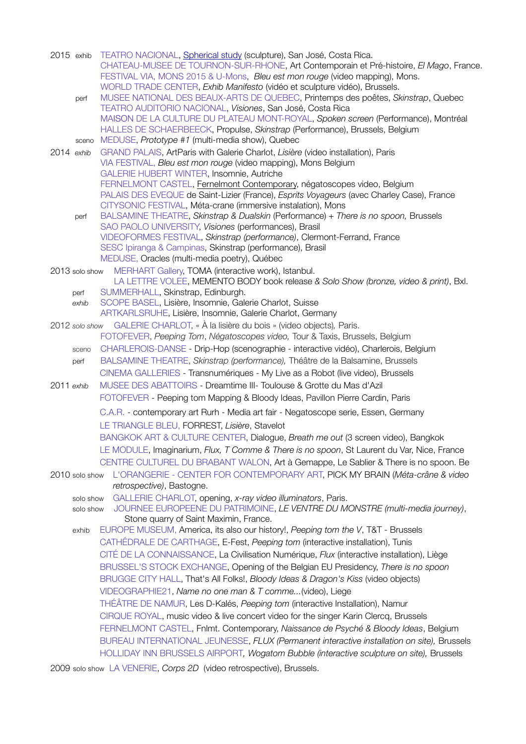| 2015 exhib     |                        | TEATRO NACIONAL, Spherical study (sculpture), San José, Costa Rica.<br>CHATEAU-MUSEE DE TOURNON-SUR-RHONE, Art Contemporain et Pré-histoire, El Mago, France.<br>FESTIVAL VIA, MONS 2015 & U-Mons, Bleu est mon rouge (video mapping), Mons.<br>WORLD TRADE CENTER, Exhib Manifesto (vidéo et sculpture vidéo), Brussels.   |
|----------------|------------------------|-----------------------------------------------------------------------------------------------------------------------------------------------------------------------------------------------------------------------------------------------------------------------------------------------------------------------------|
| perf           |                        | MUSEE NATIONAL DES BEAUX-ARTS DE QUEBEC, Printemps des poêtes, Skinstrap, Quebec                                                                                                                                                                                                                                            |
|                |                        | TEATRO AUDITORIO NACIONAL, Visiones, San José, Costa Rica                                                                                                                                                                                                                                                                   |
|                | sceno                  | MAISON DE LA CULTURE DU PLATEAU MONT-ROYAL, Spoken screen (Performance), Montréal<br>HALLES DE SCHAERBEECK, Propulse, Skinstrap (Performance), Brussels, Belgium<br>MEDUSE, Prototype #1 (multi-media show), Quebec                                                                                                         |
| 2014 exhib     |                        | GRAND PALAIS, ArtParis with Galerie Charlot, Lisière (video installation), Paris                                                                                                                                                                                                                                            |
|                |                        | VIA FESTIVAL, Bleu est mon rouge (video mapping), Mons Belgium<br>GALERIE HUBERT WINTER, Insomnie, Autriche                                                                                                                                                                                                                 |
|                |                        | FERNELMONT CASTEL, Fernelmont Contemporary, négatoscopes video, Belgium<br>PALAIS DES EVEQUE de Saint-Lizier (France), Esprits Voyageurs (avec Charley Case), France<br>CITYSONIC FESTIVAL, Méta-crane (immersive instalation), Mons<br>BALSAMINE THEATRE, Skinstrap & Dualskin (Performance) + There is no spoon, Brussels |
| perf           |                        | SAO PAOLO UNIVERSITY, Visiones (performances), Brasil                                                                                                                                                                                                                                                                       |
|                |                        | VIDEOFORMES FESTIVAL, Skinstrap (performance), Clermont-Ferrand, France                                                                                                                                                                                                                                                     |
|                |                        | SESC Ipiranga & Campinas, Skinstrap (performance), Brasil                                                                                                                                                                                                                                                                   |
|                |                        | MEDUSE, Oracles (multi-media poetry), Québec                                                                                                                                                                                                                                                                                |
| 2013 solo show |                        | MERHART Gallery, TOMA (interactive work), Istanbul.<br>LA LETTRE VOLEE, MEMENTO BODY book release & Solo Show (bronze, video & print), Bxl.                                                                                                                                                                                 |
| perf           |                        | SUMMERHALL, Skinstrap, Edinburgh.                                                                                                                                                                                                                                                                                           |
| exhib          |                        | SCOPE BASEL, Lisière, Insomnie, Galerie Charlot, Suisse<br>ARTKARLSRUHE, Lisière, Insomnie, Galerie Charlot, Germany                                                                                                                                                                                                        |
| 2012 solo show |                        | GALERIE CHARLOT, « À la lisière du bois » (video objects), Paris.                                                                                                                                                                                                                                                           |
|                |                        | FOTOFEVER, Peeping Tom, Négatoscopes video, Tour & Taxis, Brussels, Belgium                                                                                                                                                                                                                                                 |
| sceno          |                        | CHARLEROIS-DANSE - Drip-Hop (scenographie - interactive vidéo), Charlerois, Belgium                                                                                                                                                                                                                                         |
| perf           |                        | BALSAMINE THEATRE, Skinstrap (performance), Théâtre de la Balsamine, Brussels                                                                                                                                                                                                                                               |
|                |                        | CINEMA GALLERIES - Transnumériques - My Live as a Robot (live video), Brussels                                                                                                                                                                                                                                              |
| 2011 exhib     |                        | MUSEE DES ABATTOIRS - Dreamtime III- Toulouse & Grotte du Mas d'Azil                                                                                                                                                                                                                                                        |
|                |                        | FOTOFEVER - Peeping tom Mapping & Bloody Ideas, Pavillon Pierre Cardin, Paris                                                                                                                                                                                                                                               |
|                |                        | C.A.R. - contemporary art Rurh - Media art fair - Negatoscope serie, Essen, Germany                                                                                                                                                                                                                                         |
|                |                        | LE TRIANGLE BLEU, FORREST, Lisière, Stavelot                                                                                                                                                                                                                                                                                |
|                |                        | BANGKOK ART & CULTURE CENTER, Dialogue, Breath me out (3 screen video), Bangkok                                                                                                                                                                                                                                             |
|                |                        | LE MODULE, Imaginarium, Flux, T Comme & There is no spoon, St Laurent du Var, Nice, France                                                                                                                                                                                                                                  |
|                |                        | CENTRE CULTUREL DU BRABANT WALON, Art à Gemappe, Le Sablier & There is no spoon. Be                                                                                                                                                                                                                                         |
| 2010 solo show |                        | L'ORANGERIE - CENTER FOR CONTEMPORARY ART, PICK MY BRAIN (Méta-crâne & video                                                                                                                                                                                                                                                |
|                |                        | retrospective), Bastogne.                                                                                                                                                                                                                                                                                                   |
|                | solo show<br>solo show | GALLERIE CHARLOT, opening, x-ray video illuminators, Paris.<br>JOURNEE EUROPEENE DU PATRIMOINE, LE VENTRE DU MONSTRE (multi-media journey),                                                                                                                                                                                 |
| exhib          |                        | Stone quarry of Saint Maximin, France.<br>EUROPE MUSEUM, America, its also our history!, Peeping tom the V, T&T - Brussels                                                                                                                                                                                                  |
|                |                        | CATHÉDRALE DE CARTHAGE, E-Fest, Peeping tom (interactive installation), Tunis                                                                                                                                                                                                                                               |
|                |                        | CITÉ DE LA CONNAISSANCE, La Civilisation Numérique, Flux (interactive installation), Liège                                                                                                                                                                                                                                  |
|                |                        | BRUSSEL'S STOCK EXCHANGE, Opening of the Belgian EU Presidency, There is no spoon                                                                                                                                                                                                                                           |
|                |                        | BRUGGE CITY HALL, That's All Folks!, Bloody Ideas & Dragon's Kiss (video objects)                                                                                                                                                                                                                                           |
|                |                        | VIDEOGRAPHIE21, Name no one man & T comme(video), Liege                                                                                                                                                                                                                                                                     |
|                |                        | THÉÂTRE DE NAMUR, Les D-Kalés, Peeping tom (interactive Installation), Namur                                                                                                                                                                                                                                                |
|                |                        | CIRQUE ROYAL, music video & live concert video for the singer Karin Clercq, Brussels                                                                                                                                                                                                                                        |
|                |                        | FERNELMONT CASTEL, Fnlmt. Contemporary, Naissance de Psyché & Bloody Ideas, Belgium                                                                                                                                                                                                                                         |
|                |                        | BUREAU INTERNATIONAL JEUNESSE, FLUX (Permanent interactive installation on site), Brussels                                                                                                                                                                                                                                  |
|                |                        | HOLLIDAY INN BRUSSELS AIRPORT, Wogatom Bubble (interactive sculpture on site), Brussels                                                                                                                                                                                                                                     |
|                |                        |                                                                                                                                                                                                                                                                                                                             |

2009 solo show LA VENERIE, *Corps 2D* (video retrospective), Brussels.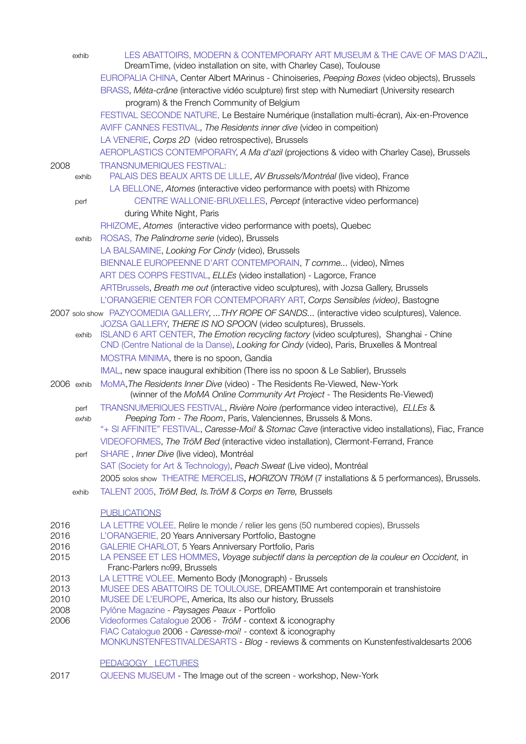|              | exhib | LES ABATTOIRS, MODERN & CONTEMPORARY ART MUSEUM & THE CAVE OF MAS D'AZIL,<br>DreamTime, (video installation on site, with Charley Case), Toulouse                                    |
|--------------|-------|--------------------------------------------------------------------------------------------------------------------------------------------------------------------------------------|
|              |       | EUROPALIA CHINA, Center Albert MArinus - Chinoiseries, Peeping Boxes (video objects), Brussels                                                                                       |
|              |       | BRASS, Méta-crâne (interactive vidéo sculpture) first step with Numediart (University research                                                                                       |
|              |       | program) & the French Community of Belgium                                                                                                                                           |
|              |       | FESTIVAL SECONDE NATURE, Le Bestaire Numérique (installation multi-écran), Aix-en-Provence                                                                                           |
|              |       | AVIFF CANNES FESTIVAL, The Residents inner dive (video in compettion)                                                                                                                |
|              |       | LA VENERIE, Corps 2D (video retrospective), Brussels                                                                                                                                 |
|              |       | AEROPLASTICS CONTEMPORARY, A Ma d'azil (projections & video with Charley Case), Brussels                                                                                             |
| 2008         | exhib | <b>TRANSNUMERIQUES FESTIVAL:</b><br>PALAIS DES BEAUX ARTS DE LILLE, AV Brussels/Montréal (live video), France                                                                        |
|              |       | LA BELLONE, Atomes (interactive video performance with poets) with Rhizome                                                                                                           |
|              | perf  | CENTRE WALLONIE-BRUXELLES, Percept (interactive video performance)                                                                                                                   |
|              |       | during White Night, Paris                                                                                                                                                            |
|              |       | RHIZOME, Atomes (interactive video performance with poets), Quebec                                                                                                                   |
|              | exhib | ROSAS, The Palindrome serie (video), Brussels                                                                                                                                        |
|              |       | LA BALSAMINE, Looking For Cindy (video), Brussels                                                                                                                                    |
|              |       | BIENNALE EUROPEENNE D'ART CONTEMPORAIN, T comme (video), Nîmes                                                                                                                       |
|              |       | ART DES CORPS FESTIVAL, ELLEs (video installation) - Lagorce, France                                                                                                                 |
|              |       | ARTBrussels, Breath me out (interactive video sculptures), with Jozsa Gallery, Brussels                                                                                              |
|              |       | L'ORANGERIE CENTER FOR CONTEMPORARY ART, Corps Sensibles (video), Bastogne                                                                                                           |
|              |       | 2007 solo show PAZYCOMEDIA GALLERY,  THY ROPE OF SANDS (interactive video sculptures), Valence.                                                                                      |
|              |       | JOZSA GALLERY, THERE IS NO SPOON (video sculptures), Brussels.                                                                                                                       |
|              | exhib | ISLAND 6 ART CENTER, The Emotion recycling factory (video sculptures), Shanghai - Chine<br>CND (Centre National de la Danse), Looking for Cindy (video), Paris, Bruxelles & Montreal |
|              |       | MOSTRA MINIMA, there is no spoon, Gandia                                                                                                                                             |
|              |       | IMAL, new space inaugural exhibition (There iss no spoon & Le Sablier), Brussels                                                                                                     |
| 2006 exhib   |       | MoMA, The Residents Inner Dive (video) - The Residents Re-Viewed, New-York<br>(winner of the MoMA Online Community Art Project - The Residents Re-Viewed)                            |
|              | perf  | TRANSNUMERIQUES FESTIVAL, Rivière Noire (performance video interactive), ELLEs &                                                                                                     |
|              | exhib | Peeping Tom - The Room, Paris, Valenciennes, Brussels & Mons.<br>"+ SI AFFINITE" FESTIVAL, Caresse-Moi! & Stomac Cave (interactive video installations), Fiac, France                |
|              |       | VIDEOFORMES, The TröM Bed (interactive video installation), Clermont-Ferrand, France                                                                                                 |
|              | perf  | SHARE, Inner Dive (live video), Montréal                                                                                                                                             |
|              |       | SAT (Society for Art & Technology), Peach Sweat (Live video), Montréal                                                                                                               |
|              |       | 2005 solos show THEATRE MERCELIS, HORIZON TRöM (7 installations & 5 performances), Brussels.                                                                                         |
|              | exhib | TALENT 2005, TröM Bed, Is. TröM & Corps en Terre, Brussels                                                                                                                           |
|              |       | <b>PUBLICATIONS</b>                                                                                                                                                                  |
| 2016         |       | LA LETTRE VOLEE, Relire le monde / relier les gens (50 numbered copies), Brussels                                                                                                    |
| 2016         |       | L'ORANGERIE, 20 Years Anniversary Portfolio, Bastogne                                                                                                                                |
| 2016         |       | GALERIE CHARLOT, 5 Years Anniversary Portfolio, Paris                                                                                                                                |
| 2015         |       | LA PENSEE ET LES HOMMES, Voyage subjectif dans la perception de la couleur en Occident, in<br>Franc-Parlers no99, Brussels                                                           |
| 2013         |       | LA LETTRE VOLEE, Memento Body (Monograph) - Brussels                                                                                                                                 |
| 2013         |       | MUSEE DES ABATTOIRS DE TOULOUSE, DREAMTIME Art contemporain et transhistoire                                                                                                         |
| 2010<br>2008 |       | MUSEE DE L'EUROPE, America, Its also our history, Brussels<br>Pylône Magazine - Paysages Peaux - Portfolio                                                                           |
| 2006         |       | Videoformes Catalogue 2006 - TröM - context & iconography                                                                                                                            |
|              |       | FIAC Catalogue 2006 - Caresse-moi! - context & iconography                                                                                                                           |
|              |       | MONKUNSTENFESTIVALDESARTS - Blog - reviews & comments on Kunstenfestivaldesarts 2006                                                                                                 |
|              |       | <b>PEDAGOGY LECTURES</b>                                                                                                                                                             |
| 2017         |       | QUEENS MUSEUM - The Image out of the screen - workshop, New-York                                                                                                                     |
|              |       |                                                                                                                                                                                      |